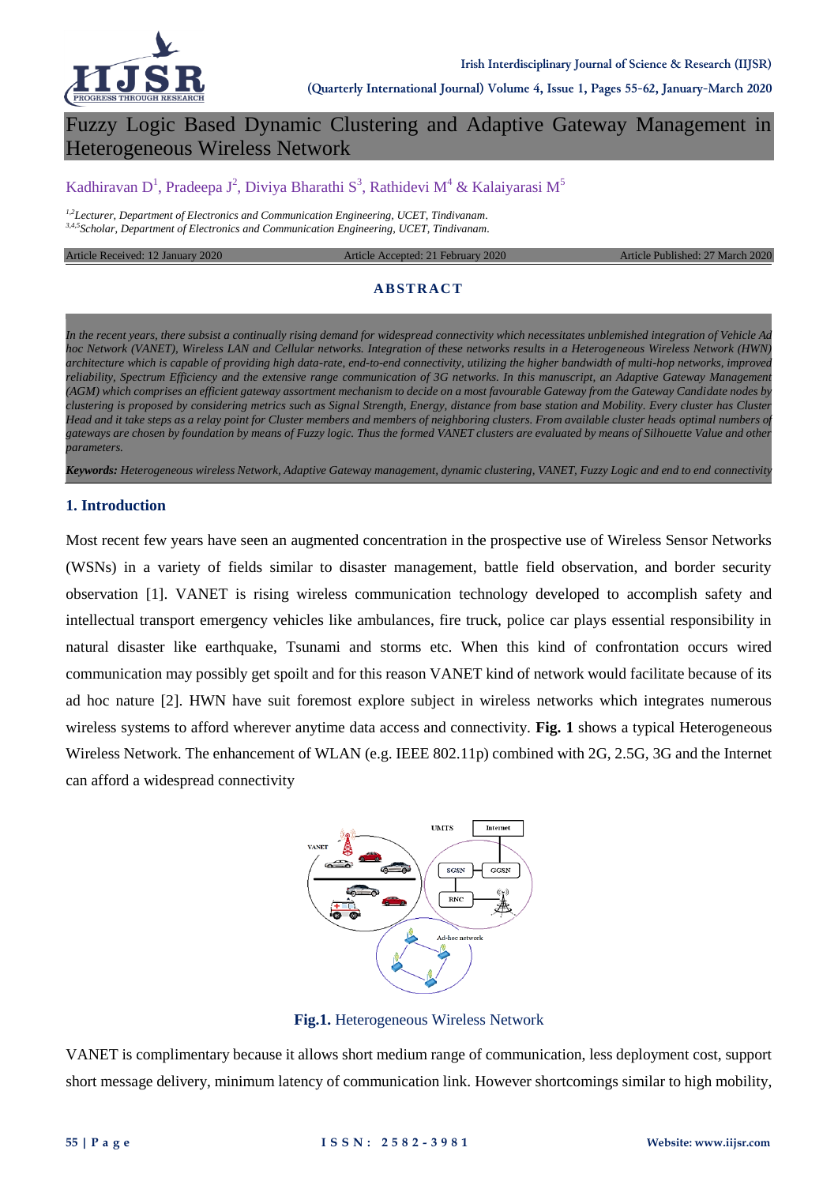

# Fuzzy Logic Based Dynamic Clustering and Adaptive Gateway Management in Heterogeneous Wireless Network

# Kadhiravan D<sup>1</sup>, Pradeepa J<sup>2</sup>, Diviya Bharathi S<sup>3</sup>, Rathidevi M<sup>4</sup> & Kalaiyarasi M<sup>5</sup>

*1,2Lecturer, Department of Electronics and Communication Engineering, UCET, Tindivanam. 3,4,5Scholar, Department of Electronics and Communication Engineering, UCET, Tindivanam.*

Article Received: 12 January 2020 Article Accepted: 21 February 2020 Article Published: 27 March 2020

#### **AB STRAC T**

*In the recent years, there subsist a continually rising demand for widespread connectivity which necessitates unblemished integration of Vehicle Ad hoc Network (VANET), Wireless LAN and Cellular networks. Integration of these networks results in a Heterogeneous Wireless Network (HWN) architecture which is capable of providing high data-rate, end-to-end connectivity, utilizing the higher bandwidth of multi-hop networks, improved reliability, Spectrum Efficiency and the extensive range communication of 3G networks. In this manuscript, an Adaptive Gateway Management (AGM) which comprises an efficient gateway assortment mechanism to decide on a most favourable Gateway from the Gateway Candidate nodes by clustering is proposed by considering metrics such as Signal Strength, Energy, distance from base station and Mobility. Every cluster has Cluster Head and it take steps as a relay point for Cluster members and members of neighboring clusters. From available cluster heads optimal numbers of gateways are chosen by foundation by means of Fuzzy logic. Thus the formed VANET clusters are evaluated by means of Silhouette Value and other parameters.*

*Keywords: Heterogeneous wireless Network, Adaptive Gateway management, dynamic clustering, VANET, Fuzzy Logic and end to end connectivity*

#### **1. Introduction**

Most recent few years have seen an augmented concentration in the prospective use of Wireless Sensor Networks (WSNs) in a variety of fields similar to disaster management, battle field observation, and border security observation [1]. VANET is rising wireless communication technology developed to accomplish safety and intellectual transport emergency vehicles like ambulances, fire truck, police car plays essential responsibility in natural disaster like earthquake, Tsunami and storms etc. When this kind of confrontation occurs wired communication may possibly get spoilt and for this reason VANET kind of network would facilitate because of its ad hoc nature [2]. HWN have suit foremost explore subject in wireless networks which integrates numerous wireless systems to afford wherever anytime data access and connectivity. **Fig. 1** shows a typical Heterogeneous Wireless Network. The enhancement of WLAN (e.g. IEEE 802.11p) combined with 2G, 2.5G, 3G and the Internet can afford a widespread connectivity



**Fig.1.** Heterogeneous Wireless Network

VANET is complimentary because it allows short medium range of communication, less deployment cost, support short message delivery, minimum latency of communication link. However shortcomings similar to high mobility,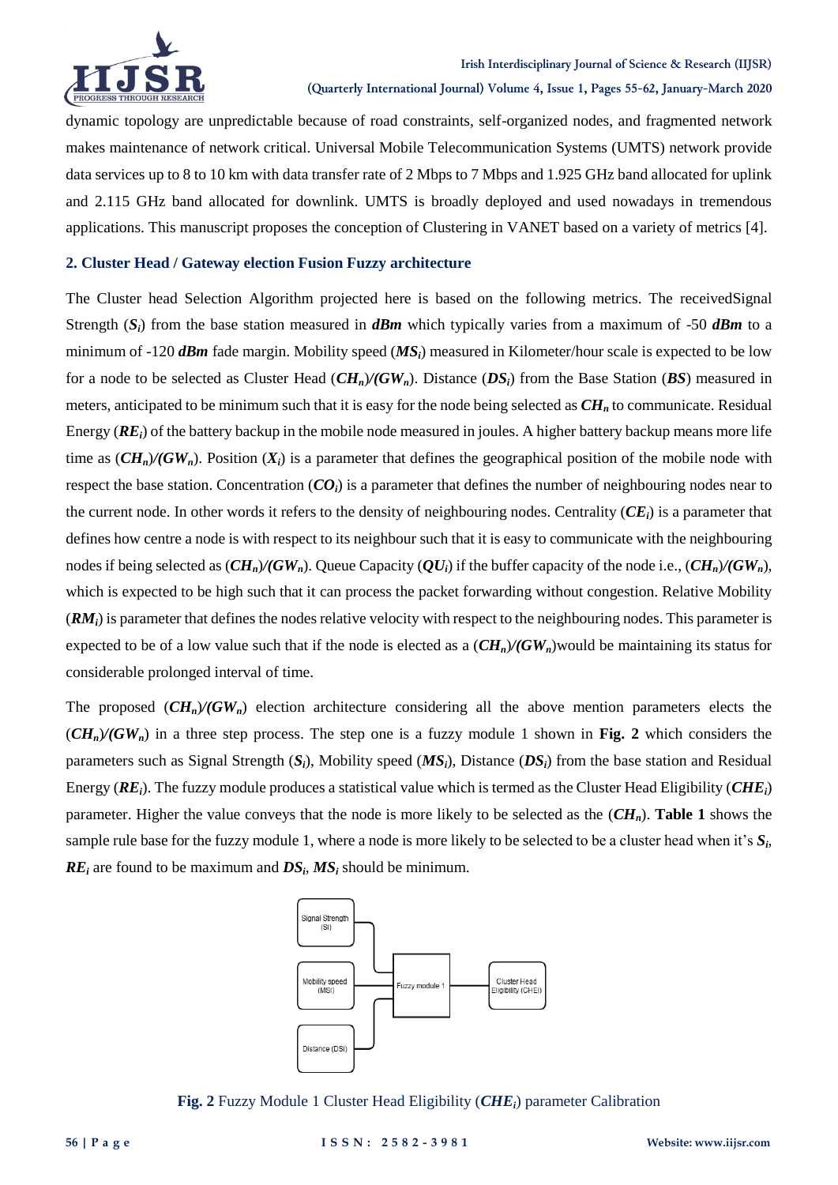

dynamic topology are unpredictable because of road constraints, self-organized nodes, and fragmented network makes maintenance of network critical. Universal Mobile Telecommunication Systems (UMTS) network provide data services up to 8 to 10 km with data transfer rate of 2 Mbps to 7 Mbps and 1.925 GHz band allocated for uplink and 2.115 GHz band allocated for downlink. UMTS is broadly deployed and used nowadays in tremendous applications. This manuscript proposes the conception of Clustering in VANET based on a variety of metrics [4].

### **2. Cluster Head / Gateway election Fusion Fuzzy architecture**

The Cluster head Selection Algorithm projected here is based on the following metrics. The receivedSignal Strength (*Si*) from the base station measured in *dBm* which typically varies from a maximum of -50 *dBm* to a minimum of -120 *dBm* fade margin. Mobility speed (*MSi*) measured in Kilometer/hour scale is expected to be low for a node to be selected as Cluster Head (*CHn*)*/(GWn*). Distance (*DSi*) from the Base Station (*BS*) measured in meters, anticipated to be minimum such that it is easy for the node being selected as *CH<sup>n</sup>* to communicate. Residual Energy (*REi*) of the battery backup in the mobile node measured in joules. A higher battery backup means more life time as  $(\mathbf{C}\mathbf{H}_n)/(\mathbf{G}\mathbf{W}_n)$ . Position  $(X_i)$  is a parameter that defines the geographical position of the mobile node with respect the base station. Concentration  $(CO_i)$  is a parameter that defines the number of neighbouring nodes near to the current node. In other words it refers to the density of neighbouring nodes. Centrality  $(CE_i)$  is a parameter that defines how centre a node is with respect to its neighbour such that it is easy to communicate with the neighbouring nodes if being selected as  $(\mathbf{C}\mathbf{H}_n)/(\mathbf{G}\mathbf{W}_n)$ . Queue Capacity  $(\mathbf{O}U_i)$  if the buffer capacity of the node i.e.,  $(\mathbf{C}\mathbf{H}_n)/(\mathbf{G}\mathbf{W}_n)$ , which is expected to be high such that it can process the packet forwarding without congestion. Relative Mobility (*RMi*) is parameter that defines the nodes relative velocity with respect to the neighbouring nodes. This parameter is expected to be of a low value such that if the node is elected as a  $(\mathbf{C}\mathbf{H}_n)/(\mathbf{G}\mathbf{W}_n)$  would be maintaining its status for considerable prolonged interval of time.

The proposed  $(CH_n)/(GW_n)$  election architecture considering all the above mention parameters elects the  $(CH<sub>n</sub>)/(GW<sub>n</sub>)$  in a three step process. The step one is a fuzzy module 1 shown in **Fig. 2** which considers the parameters such as Signal Strength (*Si*), Mobility speed (*MSi*), Distance (*DSi*) from the base station and Residual Energy (*REi*). The fuzzy module produces a statistical value which is termed as the Cluster Head Eligibility (*CHEi*) parameter. Higher the value conveys that the node is more likely to be selected as the (*CHn*). **Table 1** shows the sample rule base for the fuzzy module 1, where a node is more likely to be selected to be a cluster head when it's *S<sup>i</sup>* , *RE<sup>i</sup>* are found to be maximum and *DS<sup>i</sup>* , *MS<sup>i</sup>* should be minimum.



**Fig. 2** Fuzzy Module 1 Cluster Head Eligibility (*CHEi*) parameter Calibration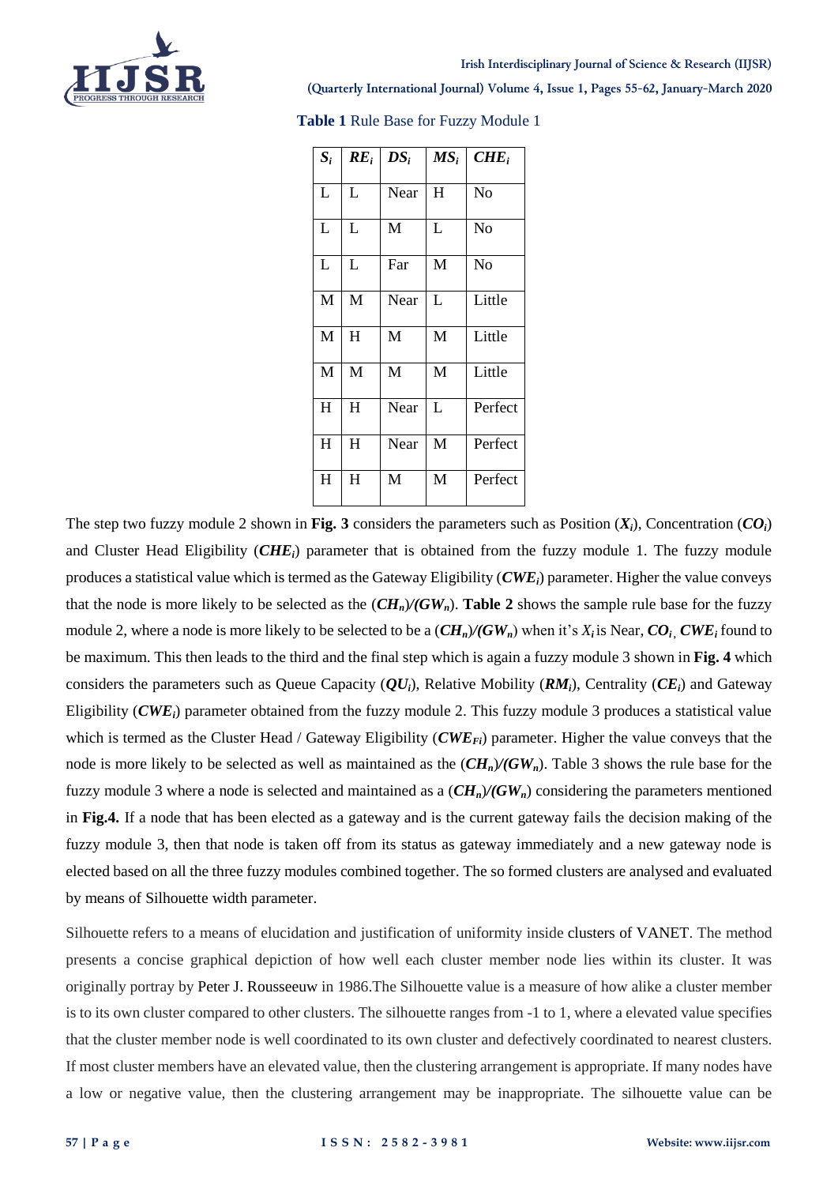

#### **Irish Interdisciplinary Journal of Science & Research (IIJSR)**

**(Quarterly International Journal) Volume 4, Issue 1, Pages 55-62, January-March 2020**

| $S_i$ | $RE_i$    | $DS_i$ | $MS_i$ | $CHE_i$        |
|-------|-----------|--------|--------|----------------|
| L     | L         | Near   | H      | No             |
| L     | L         | M      | L      | No             |
| L     | L         | Far    | M      | N <sub>o</sub> |
| M     | M         | Near   | L      | Little         |
| M     | H         | M      | M      | Little         |
| M     | M         | M      | M      | Little         |
| H     | H         | Near   | L      | Perfect        |
| H     | H         | Near   | M      | Perfect        |
| H     | $H_{\rm}$ | M      | M      | Perfect        |

**Table 1** Rule Base for Fuzzy Module 1

The step two fuzzy module 2 shown in **Fig. 3** considers the parameters such as Position  $(X_i)$ , Concentration  $(CO_i)$ and Cluster Head Eligibility (*CHEi*) parameter that is obtained from the fuzzy module 1. The fuzzy module produces a statistical value which is termed as the Gateway Eligibility (*CWEi*) parameter. Higher the value conveys that the node is more likely to be selected as the  $(CH_n)/(GW_n)$ . Table 2 shows the sample rule base for the fuzzy module 2, where a node is more likely to be selected to be a  $(CH_n)/(GW_n)$  when it's  $X_i$  is Near,  $CO_i$ ,  $CWE_i$  found to be maximum. This then leads to the third and the final step which is again a fuzzy module 3 shown in **Fig. 4** which considers the parameters such as Queue Capacity (*QUi*), Relative Mobility (*RMi*), Centrality (*CEi*) and Gateway Eligibility (*CWEi*) parameter obtained from the fuzzy module 2. This fuzzy module 3 produces a statistical value which is termed as the Cluster Head / Gateway Eligibility (*CWEFi*) parameter. Higher the value conveys that the node is more likely to be selected as well as maintained as the (*CHn*)*/(GWn*). Table 3 shows the rule base for the fuzzy module 3 where a node is selected and maintained as a (*CHn*)*/(GWn*) considering the parameters mentioned in **Fig.4.** If a node that has been elected as a gateway and is the current gateway fails the decision making of the fuzzy module 3, then that node is taken off from its status as gateway immediately and a new gateway node is elected based on all the three fuzzy modules combined together. The so formed clusters are analysed and evaluated by means of Silhouette width parameter.

Silhouette refers to a means of elucidation and justification of uniformity inside clusters of VANET. The method presents a concise graphical depiction of how well each cluster member node lies within its cluster. It was originally portray by Peter J. Rousseeuw in 1986.The Silhouette value is a measure of how alike a cluster member is to its own cluster compared to other clusters. The silhouette ranges from -1 to 1, where a elevated value specifies that the cluster member node is well coordinated to its own cluster and defectively coordinated to nearest clusters. If most cluster members have an elevated value, then the clustering arrangement is appropriate. If many nodes have a low or negative value, then the clustering arrangement may be inappropriate. The silhouette value can be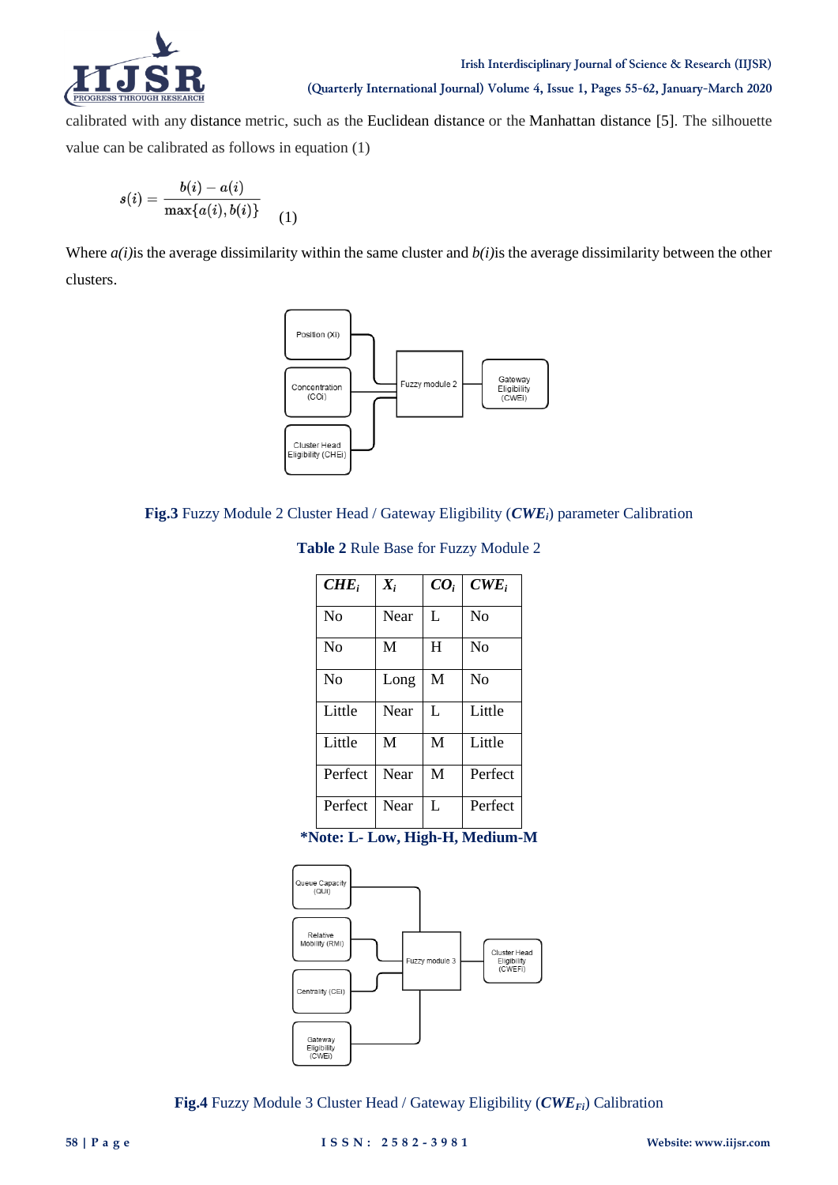

calibrated with any distance metric, such as the Euclidean distance or the Manhattan distance [5]. The silhouette value can be calibrated as follows in equation (1)

$$
s(i)=\frac{b(i)-a(i)}{\max\{a(i),b(i)\}}\qquad \qquad (1)
$$

Where *a(i)*is the average dissimilarity within the same cluster and *b(i)*is the average dissimilarity between the other clusters.



**Fig.3** Fuzzy Module 2 Cluster Head / Gateway Eligibility (*CWEi*) parameter Calibration

| Table 2 Rule Base for Fuzzy Module 2 |  |  |  |  |
|--------------------------------------|--|--|--|--|
|--------------------------------------|--|--|--|--|

| $CHE_i$        | $X_i$ | CO <sub>i</sub> | $CWE_i$  |
|----------------|-------|-----------------|----------|
| N <sub>o</sub> | Near  | L               | $\rm No$ |
| N <sub>0</sub> | M     | H               | $\rm No$ |
| N <sub>0</sub> | Long  | M               | $\rm No$ |
| Little         | Near  | L               | Little   |
| Little         | M     | M               | Little   |
| Perfect        | Near  | M               | Perfect  |
| Perfect        | Near  | L               | Perfect  |

**\*Note: L- Low, High-H, Medium-M**



**Fig.4** Fuzzy Module 3 Cluster Head / Gateway Eligibility (*CWEFi*) Calibration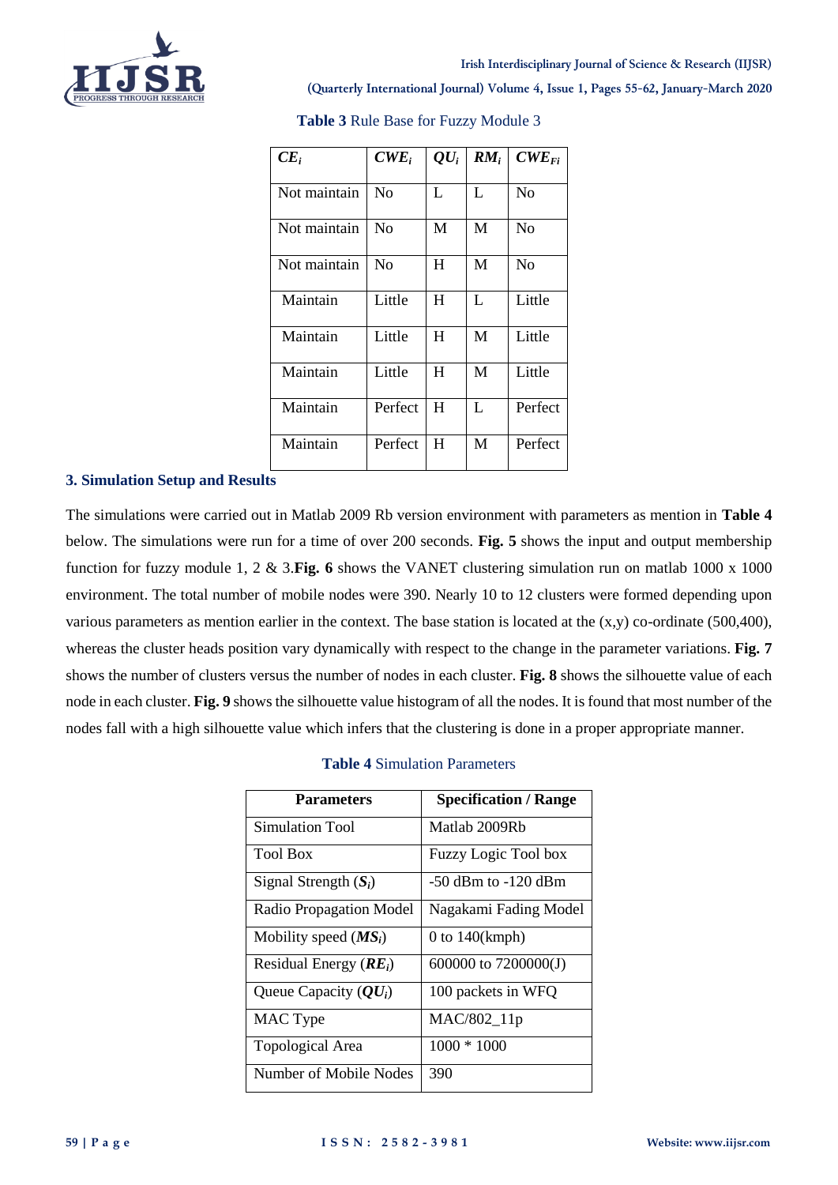

| $CE_i$       | $CWE_i$        | $\mathbf{Q}U_i$ | $RM_i$ | $CWE_{Fi}$ |
|--------------|----------------|-----------------|--------|------------|
| Not maintain | No             | L               | L      | No         |
| Not maintain | N <sub>0</sub> | М               | M      | $\rm No$   |
| Not maintain | No             | H               | M      | No         |
| Maintain     | Little         | H               | L      | Little     |
| Maintain     | Little         | H               | M      | Little     |
| Maintain     | Little         | H               | M      | Little     |
| Maintain     | Perfect        | H               | L      | Perfect    |
| Maintain     | Perfect        | H               | M      | Perfect    |

**Table 3** Rule Base for Fuzzy Module 3

## **3. Simulation Setup and Results**

The simulations were carried out in Matlab 2009 Rb version environment with parameters as mention in **Table 4** below. The simulations were run for a time of over 200 seconds. **Fig. 5** shows the input and output membership function for fuzzy module 1, 2 & 3.**Fig. 6** shows the VANET clustering simulation run on matlab 1000 x 1000 environment. The total number of mobile nodes were 390. Nearly 10 to 12 clusters were formed depending upon various parameters as mention earlier in the context. The base station is located at the  $(x,y)$  co-ordinate (500,400), whereas the cluster heads position vary dynamically with respect to the change in the parameter variations. **Fig. 7** shows the number of clusters versus the number of nodes in each cluster. **Fig. 8** shows the silhouette value of each node in each cluster. **Fig. 9** shows the silhouette value histogram of all the nodes. It is found that most number of the nodes fall with a high silhouette value which infers that the clustering is done in a proper appropriate manner.

# **Table 4** Simulation Parameters

| <b>Parameters</b>                                       | <b>Specification / Range</b> |
|---------------------------------------------------------|------------------------------|
| <b>Simulation Tool</b>                                  | Matlab 2009Rb                |
| <b>Tool Box</b>                                         | Fuzzy Logic Tool box         |
| Signal Strength $(S_i)$                                 | $-50$ dBm to $-120$ dBm      |
| Radio Propagation Model                                 | Nagakami Fading Model        |
| Mobility speed $(MS_i)$                                 | $0$ to $140(kmph)$           |
| Residual Energy $(RE_i)$                                | 600000 to 7200000(J)         |
| Queue Capacity $\left( \mathbf{Q} \mathbf{U}_i \right)$ | 100 packets in WFQ           |
| MAC Type                                                | MAC/802_11p                  |
| Topological Area                                        | $1000 * 1000$                |
| Number of Mobile Nodes                                  | 390                          |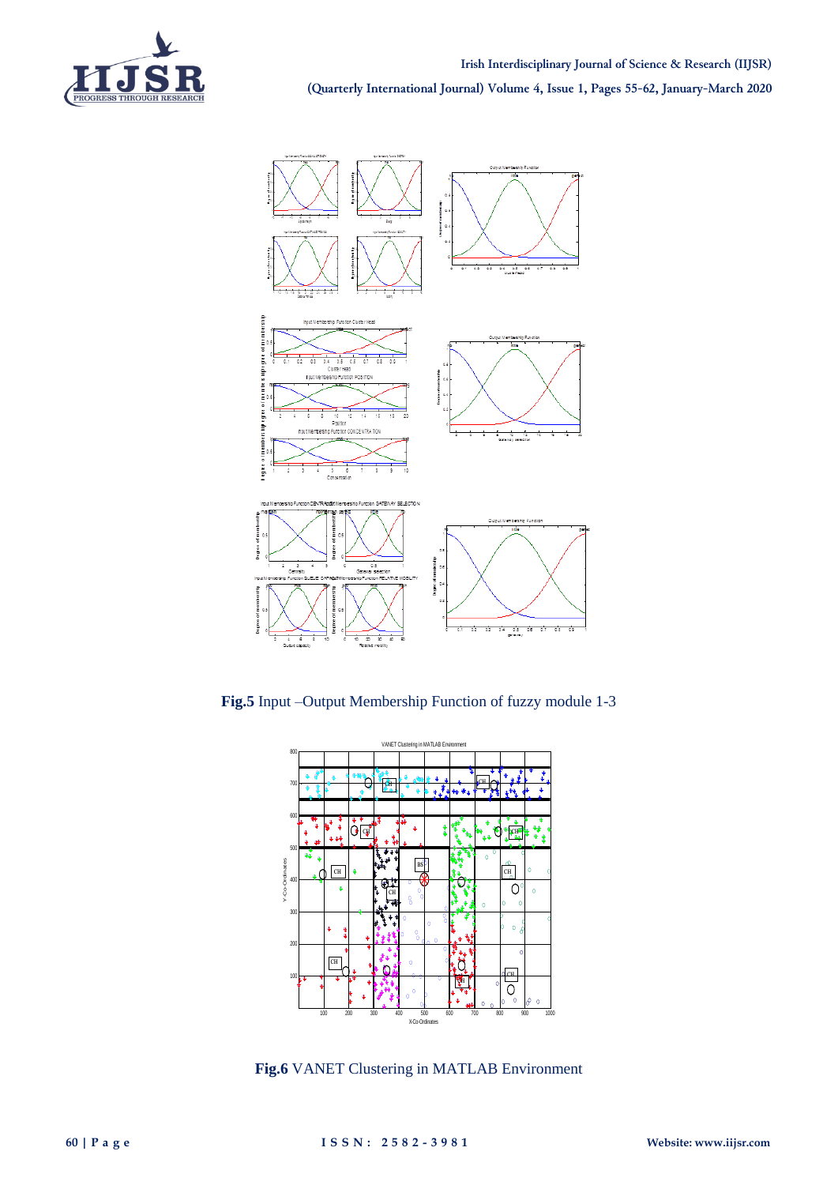



**Fig.5** Input –Output Membership Function of fuzzy module 1-3



**Fig.6** VANET Clustering in MATLAB Environment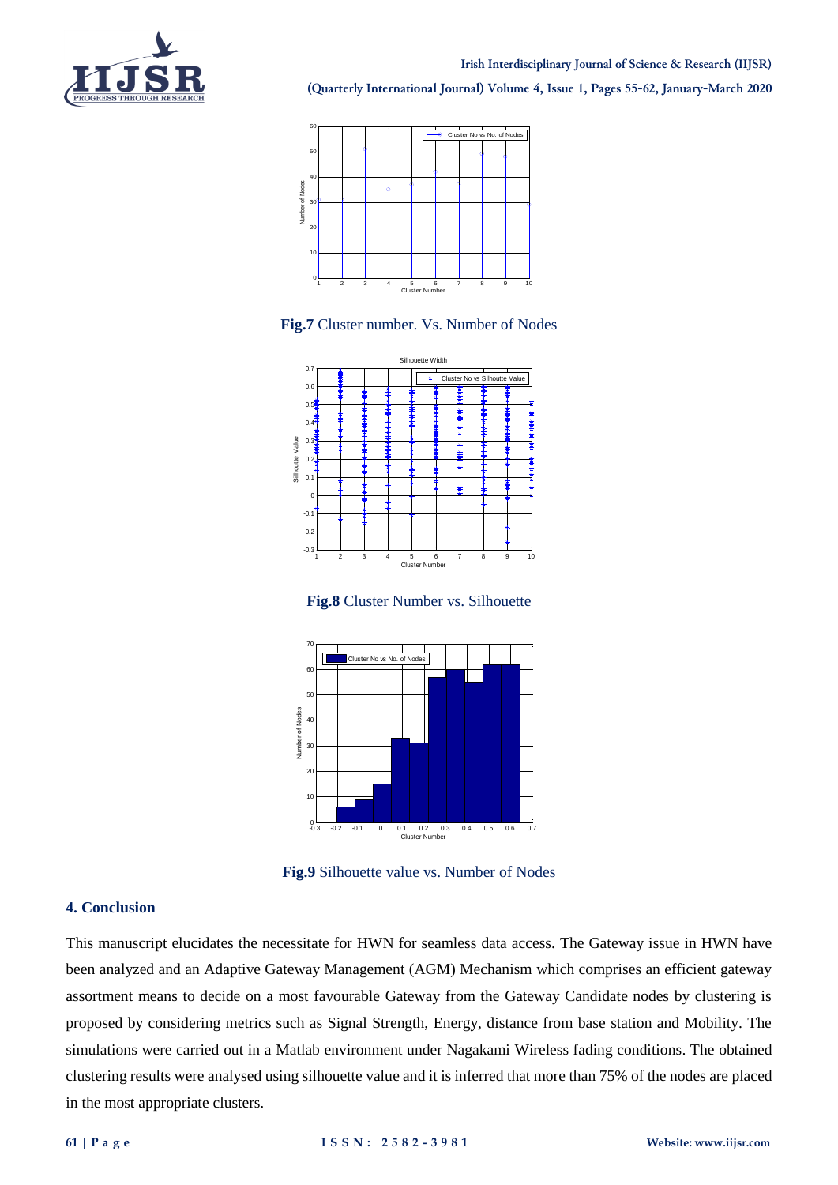



**Fig.7** Cluster number. Vs. Number of Nodes



**Fig.8** Cluster Number vs. Silhouette



**Fig.9** Silhouette value vs. Number of Nodes

#### **4. Conclusion**

This manuscript elucidates the necessitate for HWN for seamless data access. The Gateway issue in HWN have been analyzed and an Adaptive Gateway Management (AGM) Mechanism which comprises an efficient gateway assortment means to decide on a most favourable Gateway from the Gateway Candidate nodes by clustering is proposed by considering metrics such as Signal Strength, Energy, distance from base station and Mobility. The simulations were carried out in a Matlab environment under Nagakami Wireless fading conditions. The obtained clustering results were analysed using silhouette value and it is inferred that more than 75% of the nodes are placed in the most appropriate clusters.